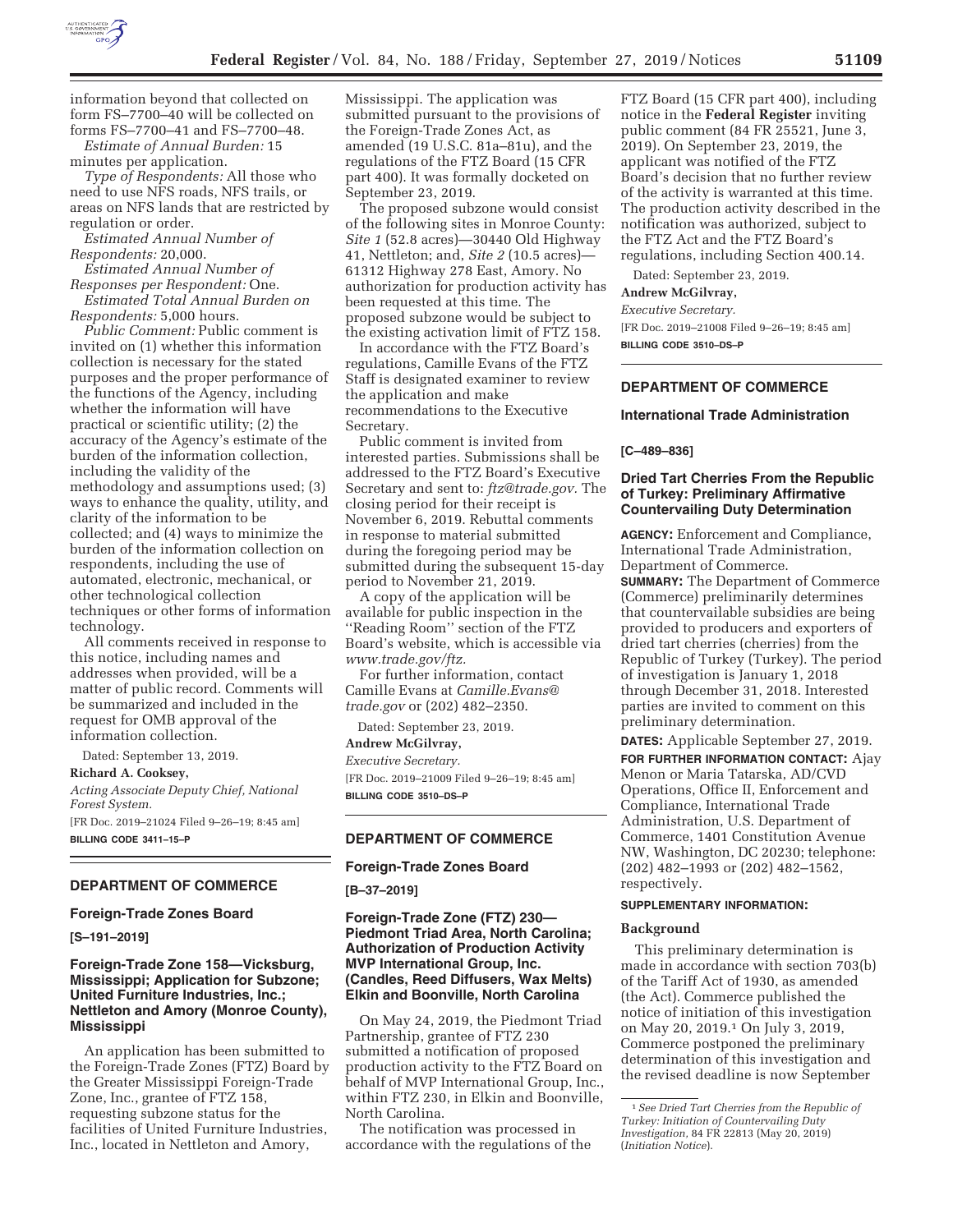

information beyond that collected on form FS–7700–40 will be collected on forms FS–7700–41 and FS–7700–48.

*Estimate of Annual Burden:* 15 minutes per application.

*Type of Respondents:* All those who need to use NFS roads, NFS trails, or areas on NFS lands that are restricted by regulation or order.

*Estimated Annual Number of Respondents:* 20,000.

*Estimated Annual Number of Responses per Respondent:* One.

*Estimated Total Annual Burden on Respondents:* 5,000 hours.

*Public Comment:* Public comment is invited on (1) whether this information collection is necessary for the stated purposes and the proper performance of the functions of the Agency, including whether the information will have practical or scientific utility; (2) the accuracy of the Agency's estimate of the burden of the information collection, including the validity of the methodology and assumptions used; (3) ways to enhance the quality, utility, and clarity of the information to be collected; and (4) ways to minimize the burden of the information collection on respondents, including the use of automated, electronic, mechanical, or other technological collection techniques or other forms of information technology.

All comments received in response to this notice, including names and addresses when provided, will be a matter of public record. Comments will be summarized and included in the request for OMB approval of the information collection.

Dated: September 13, 2019.

**Richard A. Cooksey,** 

*Acting Associate Deputy Chief, National Forest System.* 

[FR Doc. 2019–21024 Filed 9–26–19; 8:45 am] **BILLING CODE 3411–15–P** 

### **DEPARTMENT OF COMMERCE**

### **Foreign-Trade Zones Board**

**[S–191–2019]** 

## **Foreign-Trade Zone 158—Vicksburg, Mississippi; Application for Subzone; United Furniture Industries, Inc.; Nettleton and Amory (Monroe County), Mississippi**

An application has been submitted to the Foreign-Trade Zones (FTZ) Board by the Greater Mississippi Foreign-Trade Zone, Inc., grantee of FTZ 158, requesting subzone status for the facilities of United Furniture Industries, Inc., located in Nettleton and Amory,

Mississippi. The application was submitted pursuant to the provisions of the Foreign-Trade Zones Act, as amended (19 U.S.C. 81a–81u), and the regulations of the FTZ Board (15 CFR part 400). It was formally docketed on September 23, 2019.

The proposed subzone would consist of the following sites in Monroe County: *Site 1* (52.8 acres)—30440 Old Highway 41, Nettleton; and, *Site 2* (10.5 acres)— 61312 Highway 278 East, Amory. No authorization for production activity has been requested at this time. The proposed subzone would be subject to the existing activation limit of FTZ 158.

In accordance with the FTZ Board's regulations, Camille Evans of the FTZ Staff is designated examiner to review the application and make recommendations to the Executive Secretary.

Public comment is invited from interested parties. Submissions shall be addressed to the FTZ Board's Executive Secretary and sent to: *ftz@trade.gov.* The closing period for their receipt is November 6, 2019. Rebuttal comments in response to material submitted during the foregoing period may be submitted during the subsequent 15-day period to November 21, 2019.

A copy of the application will be available for public inspection in the ''Reading Room'' section of the FTZ Board's website, which is accessible via *www.trade.gov/ftz.* 

For further information, contact Camille Evans at *Camille.Evans@ trade.gov* or (202) 482–2350.

Dated: September 23, 2019.

# **Andrew McGilvray,**

*Executive Secretary.*  [FR Doc. 2019–21009 Filed 9–26–19; 8:45 am] **BILLING CODE 3510–DS–P** 

## **DEPARTMENT OF COMMERCE**

### **Foreign-Trade Zones Board**

**[B–37–2019]** 

**Foreign-Trade Zone (FTZ) 230— Piedmont Triad Area, North Carolina; Authorization of Production Activity MVP International Group, Inc. (Candles, Reed Diffusers, Wax Melts) Elkin and Boonville, North Carolina** 

On May 24, 2019, the Piedmont Triad Partnership, grantee of FTZ 230 submitted a notification of proposed production activity to the FTZ Board on behalf of MVP International Group, Inc., within FTZ 230, in Elkin and Boonville, North Carolina.

The notification was processed in accordance with the regulations of the FTZ Board (15 CFR part 400), including notice in the **Federal Register** inviting public comment (84 FR 25521, June 3, 2019). On September 23, 2019, the applicant was notified of the FTZ Board's decision that no further review of the activity is warranted at this time. The production activity described in the notification was authorized, subject to the FTZ Act and the FTZ Board's regulations, including Section 400.14.

Dated: September 23, 2019.

#### **Andrew McGilvray,**

*Executive Secretary.* 

[FR Doc. 2019–21008 Filed 9–26–19; 8:45 am] **BILLING CODE 3510–DS–P** 

### **DEPARTMENT OF COMMERCE**

### **International Trade Administration**

#### **[C–489–836]**

## **Dried Tart Cherries From the Republic of Turkey: Preliminary Affirmative Countervailing Duty Determination**

**AGENCY:** Enforcement and Compliance, International Trade Administration, Department of Commerce.

**SUMMARY:** The Department of Commerce (Commerce) preliminarily determines that countervailable subsidies are being provided to producers and exporters of dried tart cherries (cherries) from the Republic of Turkey (Turkey). The period of investigation is January 1, 2018 through December 31, 2018. Interested parties are invited to comment on this preliminary determination.

**DATES:** Applicable September 27, 2019. **FOR FURTHER INFORMATION CONTACT:** Ajay Menon or Maria Tatarska, AD/CVD Operations, Office II, Enforcement and Compliance, International Trade Administration, U.S. Department of Commerce, 1401 Constitution Avenue NW, Washington, DC 20230; telephone: (202) 482–1993 or (202) 482–1562, respectively.

#### **SUPPLEMENTARY INFORMATION:**

#### **Background**

This preliminary determination is made in accordance with section 703(b) of the Tariff Act of 1930, as amended (the Act). Commerce published the notice of initiation of this investigation on May 20, 2019.1 On July 3, 2019, Commerce postponed the preliminary determination of this investigation and the revised deadline is now September

<sup>1</sup>*See Dried Tart Cherries from the Republic of Turkey: Initiation of Countervailing Duty Investigation,* 84 FR 22813 (May 20, 2019) (*Initiation Notice*).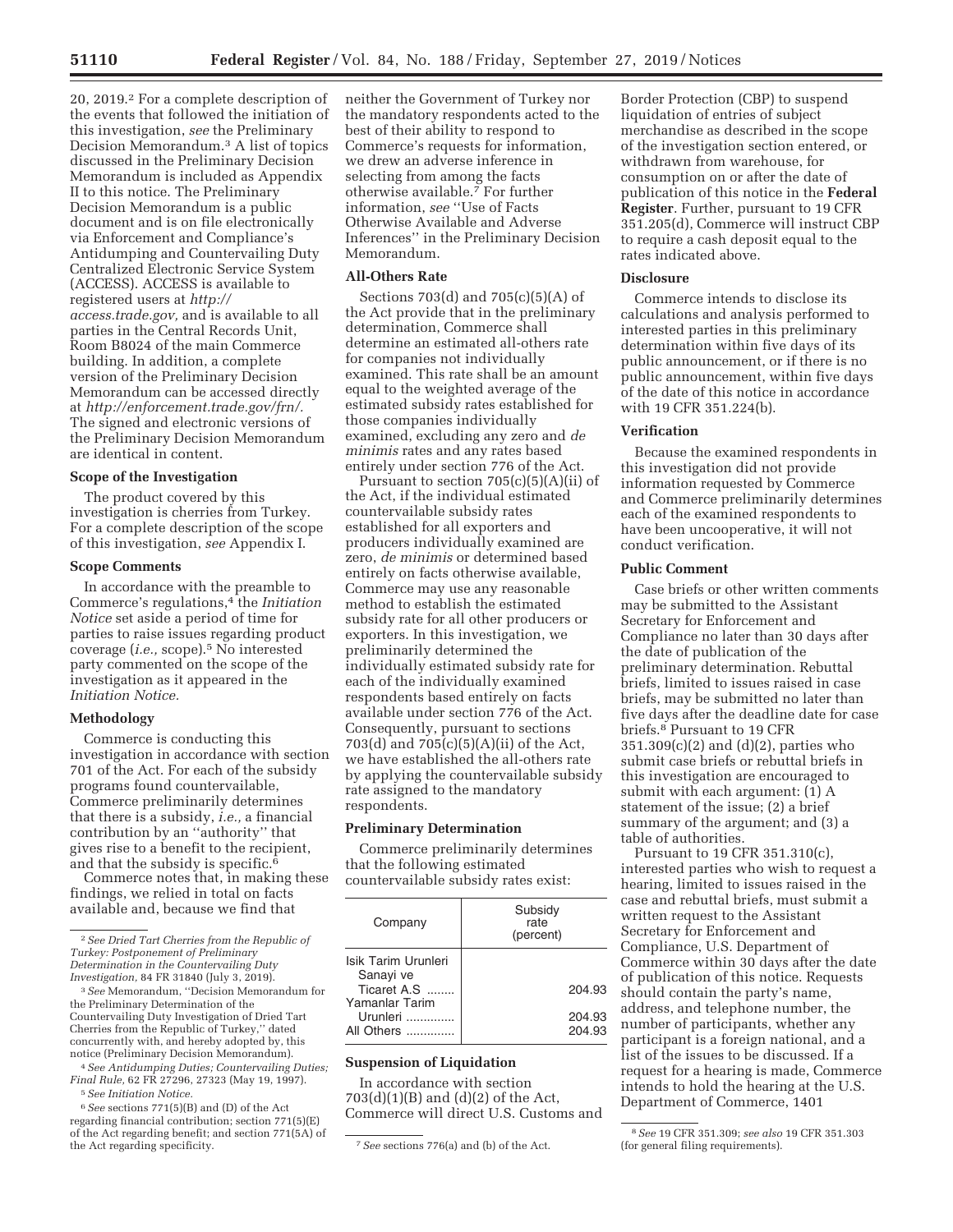20, 2019.2 For a complete description of the events that followed the initiation of this investigation, *see* the Preliminary Decision Memorandum.3 A list of topics discussed in the Preliminary Decision Memorandum is included as Appendix II to this notice. The Preliminary Decision Memorandum is a public document and is on file electronically via Enforcement and Compliance's Antidumping and Countervailing Duty Centralized Electronic Service System (ACCESS). ACCESS is available to registered users at *http:// access.trade.gov,* and is available to all parties in the Central Records Unit, Room B8024 of the main Commerce building. In addition, a complete version of the Preliminary Decision Memorandum can be accessed directly at *http://enforcement.trade.gov/frn/.*  The signed and electronic versions of the Preliminary Decision Memorandum are identical in content.

## **Scope of the Investigation**

The product covered by this investigation is cherries from Turkey. For a complete description of the scope of this investigation, *see* Appendix I.

### **Scope Comments**

In accordance with the preamble to Commerce's regulations,4 the *Initiation Notice* set aside a period of time for parties to raise issues regarding product coverage (*i.e.,* scope).5 No interested party commented on the scope of the investigation as it appeared in the *Initiation Notice.* 

## **Methodology**

Commerce is conducting this investigation in accordance with section 701 of the Act. For each of the subsidy programs found countervailable, Commerce preliminarily determines that there is a subsidy, *i.e.,* a financial contribution by an ''authority'' that gives rise to a benefit to the recipient, and that the subsidy is specific. $6$ 

Commerce notes that, in making these findings, we relied in total on facts available and, because we find that

3*See* Memorandum, ''Decision Memorandum for the Preliminary Determination of the Countervailing Duty Investigation of Dried Tart Cherries from the Republic of Turkey,'' dated concurrently with, and hereby adopted by, this notice (Preliminary Decision Memorandum).

4*See Antidumping Duties; Countervailing Duties; Final Rule,* 62 FR 27296, 27323 (May 19, 1997). 5*See Initiation Notice.* 

6*See* sections 771(5)(B) and (D) of the Act regarding financial contribution; section 771(5)(E) of the Act regarding benefit; and section 771(5A) of

neither the Government of Turkey nor the mandatory respondents acted to the best of their ability to respond to Commerce's requests for information, we drew an adverse inference in selecting from among the facts otherwise available.7 For further information, *see* ''Use of Facts Otherwise Available and Adverse Inferences'' in the Preliminary Decision Memorandum.

## **All-Others Rate**

Sections 703(d) and 705(c)(5)(A) of the Act provide that in the preliminary determination, Commerce shall determine an estimated all-others rate for companies not individually examined. This rate shall be an amount equal to the weighted average of the estimated subsidy rates established for those companies individually examined, excluding any zero and *de minimis* rates and any rates based entirely under section 776 of the Act.

Pursuant to section  $705(c)(5)(A)(ii)$  of the Act, if the individual estimated countervailable subsidy rates established for all exporters and producers individually examined are zero, *de minimis* or determined based entirely on facts otherwise available, Commerce may use any reasonable method to establish the estimated subsidy rate for all other producers or exporters. In this investigation, we preliminarily determined the individually estimated subsidy rate for each of the individually examined respondents based entirely on facts available under section 776 of the Act. Consequently, pursuant to sections 703(d) and 705(c)(5)(A)(ii) of the Act, we have established the all-others rate by applying the countervailable subsidy rate assigned to the mandatory respondents.

#### **Preliminary Determination**

Commerce preliminarily determines that the following estimated countervailable subsidy rates exist:

| Company                                                                                      | Subsidy<br>rate<br>(percent) |
|----------------------------------------------------------------------------------------------|------------------------------|
| Isik Tarim Urunleri<br>Sanayi ve<br>Ticaret A.S.<br>Yamanlar Tarim<br>Urunleri<br>All Others | 204.93                       |
|                                                                                              | 204.93<br>204.93             |

## **Suspension of Liquidation**

In accordance with section  $703(d)(1)(B)$  and  $(d)(2)$  of the Act, Commerce will direct U.S. Customs and

Border Protection (CBP) to suspend liquidation of entries of subject merchandise as described in the scope of the investigation section entered, or withdrawn from warehouse, for consumption on or after the date of publication of this notice in the **Federal Register**. Further, pursuant to 19 CFR 351.205(d), Commerce will instruct CBP to require a cash deposit equal to the rates indicated above.

### **Disclosure**

Commerce intends to disclose its calculations and analysis performed to interested parties in this preliminary determination within five days of its public announcement, or if there is no public announcement, within five days of the date of this notice in accordance with 19 CFR 351.224(b).

### **Verification**

Because the examined respondents in this investigation did not provide information requested by Commerce and Commerce preliminarily determines each of the examined respondents to have been uncooperative, it will not conduct verification.

#### **Public Comment**

Case briefs or other written comments may be submitted to the Assistant Secretary for Enforcement and Compliance no later than 30 days after the date of publication of the preliminary determination. Rebuttal briefs, limited to issues raised in case briefs, may be submitted no later than five days after the deadline date for case briefs.8 Pursuant to 19 CFR 351.309(c)(2) and (d)(2), parties who submit case briefs or rebuttal briefs in this investigation are encouraged to submit with each argument: (1) A statement of the issue; (2) a brief summary of the argument; and (3) a table of authorities.

Pursuant to 19 CFR 351.310(c), interested parties who wish to request a hearing, limited to issues raised in the case and rebuttal briefs, must submit a written request to the Assistant Secretary for Enforcement and Compliance, U.S. Department of Commerce within 30 days after the date of publication of this notice. Requests should contain the party's name, address, and telephone number, the number of participants, whether any participant is a foreign national, and a list of the issues to be discussed. If a request for a hearing is made, Commerce intends to hold the hearing at the U.S. Department of Commerce, 1401

<sup>2</sup>*See Dried Tart Cherries from the Republic of Turkey: Postponement of Preliminary Determination in the Countervailing Duty Investigation,* 84 FR 31840 (July 3, 2019).

<sup>&</sup>lt;sup>7</sup> See sections 776(a) and (b) of the Act.

<sup>8</sup>*See* 19 CFR 351.309; *see also* 19 CFR 351.303 (for general filing requirements).